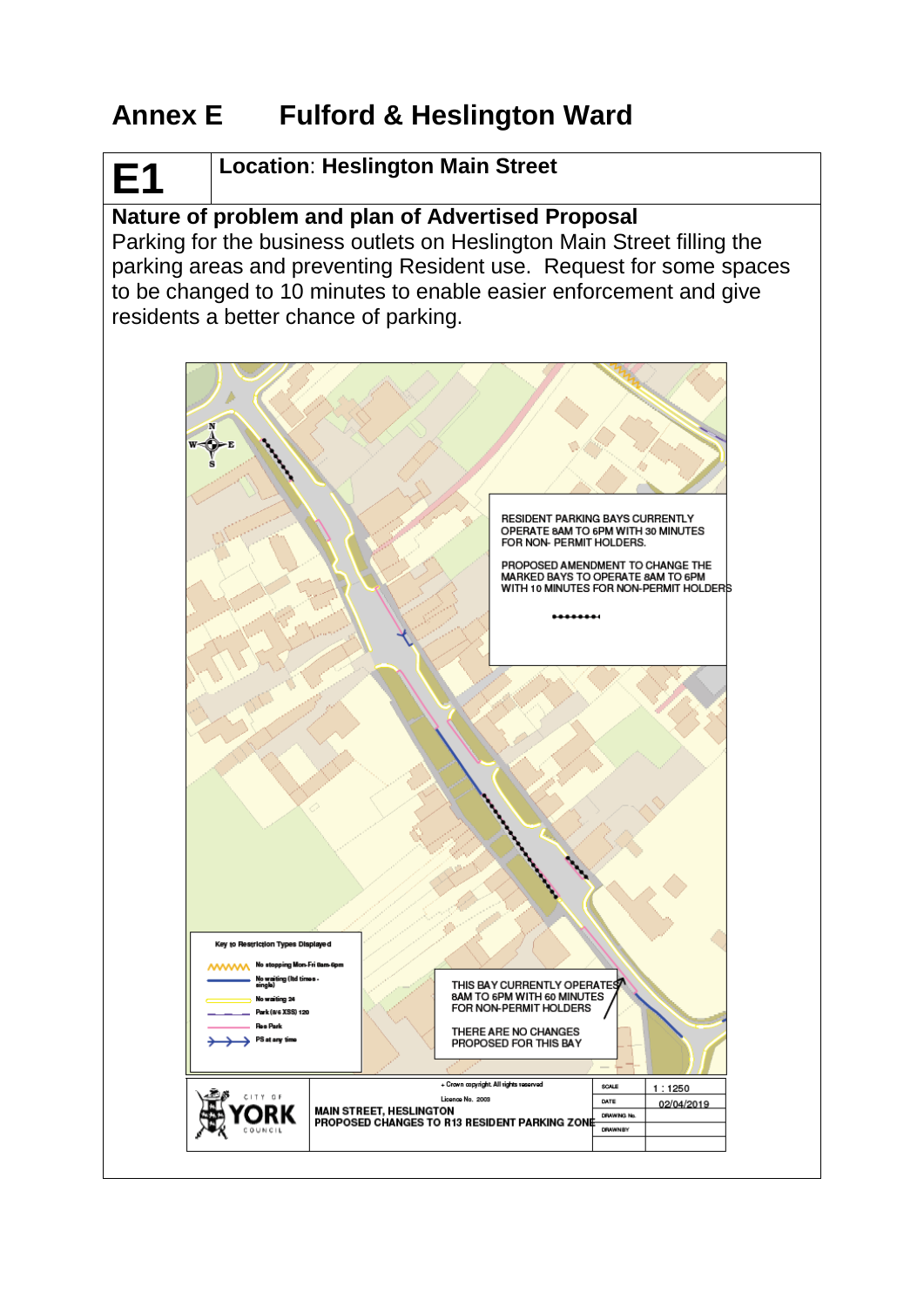# **Annex E Fulford & Heslington Ward**

# **Location**: **Heslington Main Street**

**E1**

# **Nature of problem and plan of Advertised Proposal**

Parking for the business outlets on Heslington Main Street filling the parking areas and preventing Resident use. Request for some spaces to be changed to 10 minutes to enable easier enforcement and give residents a better chance of parking.

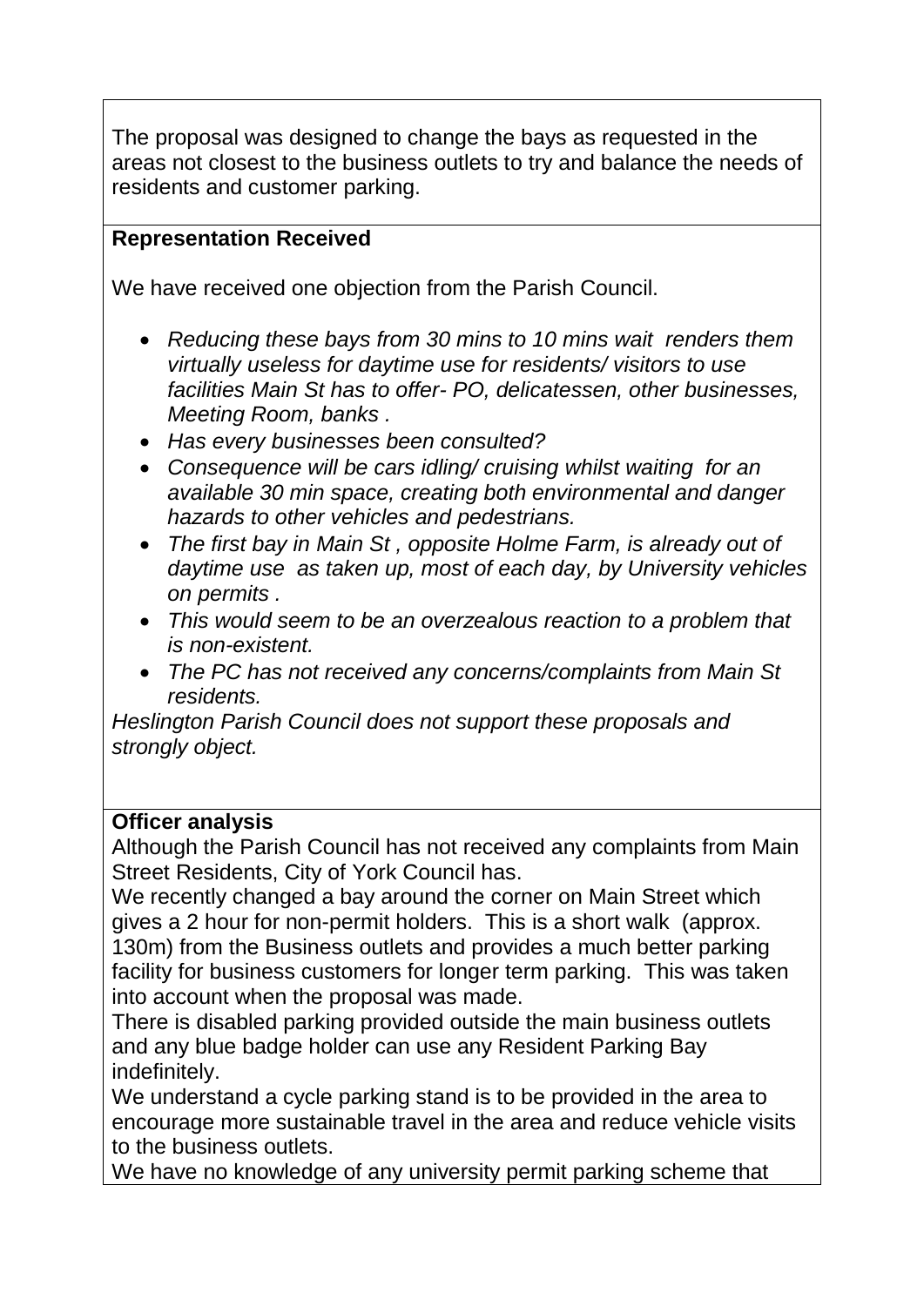The proposal was designed to change the bays as requested in the areas not closest to the business outlets to try and balance the needs of residents and customer parking.

#### **Representation Received**

We have received one objection from the Parish Council.

- *Reducing these bays from 30 mins to 10 mins wait renders them virtually useless for daytime use for residents/ visitors to use facilities Main St has to offer- PO, delicatessen, other businesses, Meeting Room, banks .*
- *Has every businesses been consulted?*
- *Consequence will be cars idling/ cruising whilst waiting for an available 30 min space, creating both environmental and danger hazards to other vehicles and pedestrians.*
- *The first bay in Main St , opposite Holme Farm, is already out of daytime use as taken up, most of each day, by University vehicles on permits .*
- *This would seem to be an overzealous reaction to a problem that is non-existent.*
- *The PC has not received any concerns/complaints from Main St residents.*

*Heslington Parish Council does not support these proposals and strongly object.*

#### **Officer analysis**

Although the Parish Council has not received any complaints from Main Street Residents, City of York Council has.

We recently changed a bay around the corner on Main Street which gives a 2 hour for non-permit holders. This is a short walk (approx. 130m) from the Business outlets and provides a much better parking facility for business customers for longer term parking. This was taken into account when the proposal was made.

There is disabled parking provided outside the main business outlets and any blue badge holder can use any Resident Parking Bay indefinitely.

We understand a cycle parking stand is to be provided in the area to encourage more sustainable travel in the area and reduce vehicle visits to the business outlets.

We have no knowledge of any university permit parking scheme that